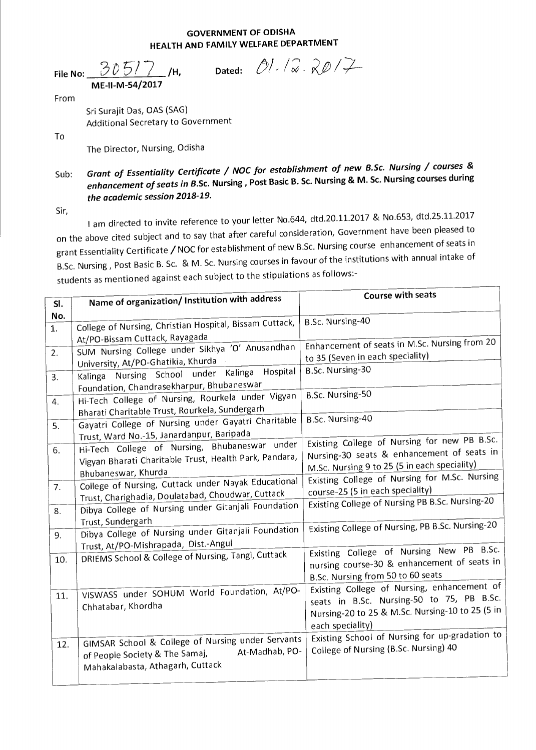## **GOVERNMENT OF ODISHA HEALTH AND FAMILY WELFARE DEPARTMENT**

|      | File No: $305/7$ /H,<br>ME-II-M-54/2017 |  | Dated: $\mathcal{O}/\mathcal{Q}$ . $\mathcal{R}\mathcal{D}/\mathcal{F}$ |
|------|-----------------------------------------|--|-------------------------------------------------------------------------|
| From |                                         |  |                                                                         |
|      |                                         |  |                                                                         |

Sri Surajit Das, OAS (SAG) Additional Secretary to Government

To

The Director, Nursing, Odisha

Sub: Grant of Essentiality Certificate / NOC for establishment of new B.Sc. Nursing / courses & enhancement of seats in **B.Sc. Nursing , Post Basic B. Sc. Nursing & M. Sc. Nursing courses during**  the academic session 2018-19.

Sir,

I am directed to invite reference to your letter No.644, dtd.20.11.2017 & No.653, dtd.25.11.2017 on the above cited subject and to say that after careful consideration, Government have been pleased to grant Essentiality Certificate / NOC for establishment of new B.Sc. Nursing course enhancement of seats in B.Sc. Nursing , Post Basic B. Sc. & M. Sc. Nursing courses in favour of the institutions with annual intake of students as mentioned against each subject to the stipulations as follows:-

|           | Name of organization/ Institution with address                                                                                                                                                                                     | Course with seats                                                                                                                                                                           |
|-----------|------------------------------------------------------------------------------------------------------------------------------------------------------------------------------------------------------------------------------------|---------------------------------------------------------------------------------------------------------------------------------------------------------------------------------------------|
| SI.       |                                                                                                                                                                                                                                    |                                                                                                                                                                                             |
| No.<br>1. | College of Nursing, Christian Hospital, Bissam Cuttack,<br>At/PO-Bissam Cuttack, Rayagada                                                                                                                                          | B.Sc. Nursing-40                                                                                                                                                                            |
| 2.<br>3.  | SUM Nursing College under Sikhya 'O' Anusandhan<br>University, At/PO-Ghatikia, Khurda<br>Hospital<br>Nursing School under Kalinga<br>Kalinga<br>Foundation, Chandrasekharpur, Bhubaneswar                                          | Enhancement of seats in M.Sc. Nursing from 20<br>to 35 (Seven in each speciality)<br>B.Sc. Nursing-30                                                                                       |
| 4.<br>5.  | Hi-Tech College of Nursing, Rourkela under Vigyan<br>Bharati Charitable Trust, Rourkela, Sundergarh<br>Gayatri College of Nursing under Gayatri Charitable                                                                         | B.Sc. Nursing-50<br>B.Sc. Nursing-40                                                                                                                                                        |
| 6.<br>7.  | Trust, Ward No.-15, Janardanpur, Baripada<br>Hi-Tech College of Nursing, Bhubaneswar under<br>Vigyan Bharati Charitable Trust, Health Park, Pandara,<br>Bhubaneswar, Khurda<br>College of Nursing, Cuttack under Nayak Educational | Existing College of Nursing for new PB B.Sc.<br>Nursing-30 seats & enhancement of seats in<br>M.Sc. Nursing 9 to 25 (5 in each speciality)<br>Existing College of Nursing for M.Sc. Nursing |
| 8.        | Trust, Charighadia, Doulatabad, Choudwar, Cuttack<br>Dibya College of Nursing under Gitanjali Foundation<br>Trust, Sundergarh                                                                                                      | course-25 (5 in each speciality)<br>Existing College of Nursing PB B.Sc. Nursing-20                                                                                                         |
| 9.        | Dibya College of Nursing under Gitanjali Foundation<br>Trust, At/PO-Mishrapada, Dist.-Angul                                                                                                                                        | Existing College of Nursing, PB B.Sc. Nursing-20                                                                                                                                            |
| 10.       | DRIEMS School & College of Nursing, Tangi, Cuttack                                                                                                                                                                                 | Existing College of Nursing New PB B.Sc.<br>nursing course-30 & enhancement of seats in<br>B.Sc. Nursing from 50 to 60 seats                                                                |
| 11.       | VISWASS under SOHUM World Foundation, At/PO-<br>Chhatabar, Khordha                                                                                                                                                                 | Existing College of Nursing, enhancement of<br>seats in B.Sc. Nursing-50 to 75, PB B.Sc.<br>Nursing-20 to 25 & M.Sc. Nursing-10 to 25 (5 in<br>each speciality)                             |
| 12.       | GIMSAR School & College of Nursing under Servants<br>At-Madhab, PO-<br>of People Society & The Samaj,<br>Mahakalabasta, Athagarh, Cuttack                                                                                          | Existing School of Nursing for up-gradation to<br>College of Nursing (B.Sc. Nursing) 40                                                                                                     |